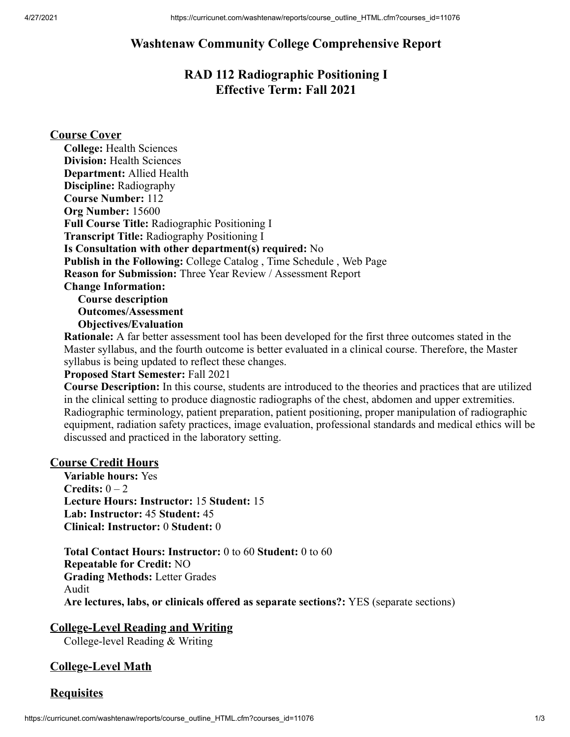# **Washtenaw Community College Comprehensive Report**

# **RAD 112 Radiographic Positioning I Effective Term: Fall 2021**

#### **Course Cover**

**Rationale:** A far better assessment tool has been developed for the first three outcomes stated in the Master syllabus, and the fourth outcome is better evaluated in a clinical course. Therefore, the Master syllabus is being updated to reflect these changes.

#### **Proposed Start Semester:** Fall 2021

**Course Description:** In this course, students are introduced to the theories and practices that are utilized in the clinical setting to produce diagnostic radiographs of the chest, abdomen and upper extremities. Radiographic terminology, patient preparation, patient positioning, proper manipulation of radiographic equipment, radiation safety practices, image evaluation, professional standards and medical ethics will be discussed and practiced in the laboratory setting.

#### **Course Credit Hours**

**Variable hours:** Yes **Credits:** 0 – 2 **Lecture Hours: Instructor:** 15 **Student:** 15 **Lab: Instructor:** 45 **Student:** 45 **Clinical: Instructor:** 0 **Student:** 0

**Total Contact Hours: Instructor:** 0 to 60 **Student:** 0 to 60 **Repeatable for Credit:** NO **Grading Methods:** Letter Grades Audit **Are lectures, labs, or clinicals offered as separate sections?:** YES (separate sections)

#### **College-Level Reading and Writing**

College-level Reading & Writing

### **College-Level Math**

#### **Requisites**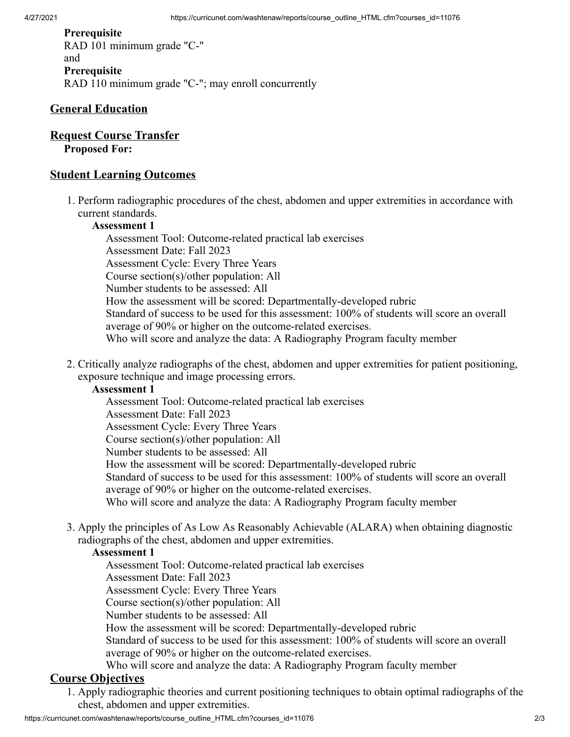#### **Prerequisite** RAD 101 minimum grade "C-" and **Prerequisite** RAD 110 minimum grade "C-"; may enroll concurrently

## **General Education**

## **Request Course Transfer**

#### **Proposed For:**

### **Student Learning Outcomes**

1. Perform radiographic procedures of the chest, abdomen and upper extremities in accordance with current standards.

#### **Assessment 1**

Assessment Tool: Outcome-related practical lab exercises Assessment Date: Fall 2023 Assessment Cycle: Every Three Years Course section(s)/other population: All Number students to be assessed: All How the assessment will be scored: Departmentally-developed rubric Standard of success to be used for this assessment: 100% of students will score an overall average of 90% or higher on the outcome-related exercises. Who will score and analyze the data: A Radiography Program faculty member

2. Critically analyze radiographs of the chest, abdomen and upper extremities for patient positioning, exposure technique and image processing errors.

#### **Assessment 1**

Assessment Tool: Outcome-related practical lab exercises Assessment Date: Fall 2023 Assessment Cycle: Every Three Years Course section(s)/other population: All Number students to be assessed: All How the assessment will be scored: Departmentally-developed rubric Standard of success to be used for this assessment: 100% of students will score an overall average of 90% or higher on the outcome-related exercises. Who will score and analyze the data: A Radiography Program faculty member

3. Apply the principles of As Low As Reasonably Achievable (ALARA) when obtaining diagnostic radiographs of the chest, abdomen and upper extremities.

#### **Assessment 1**

Assessment Tool: Outcome-related practical lab exercises

Assessment Date: Fall 2023

Assessment Cycle: Every Three Years

Course section(s)/other population: All

Number students to be assessed: All

How the assessment will be scored: Departmentally-developed rubric

Standard of success to be used for this assessment: 100% of students will score an overall average of 90% or higher on the outcome-related exercises.

Who will score and analyze the data: A Radiography Program faculty member

## **Course Objectives**

1. Apply radiographic theories and current positioning techniques to obtain optimal radiographs of the chest, abdomen and upper extremities.